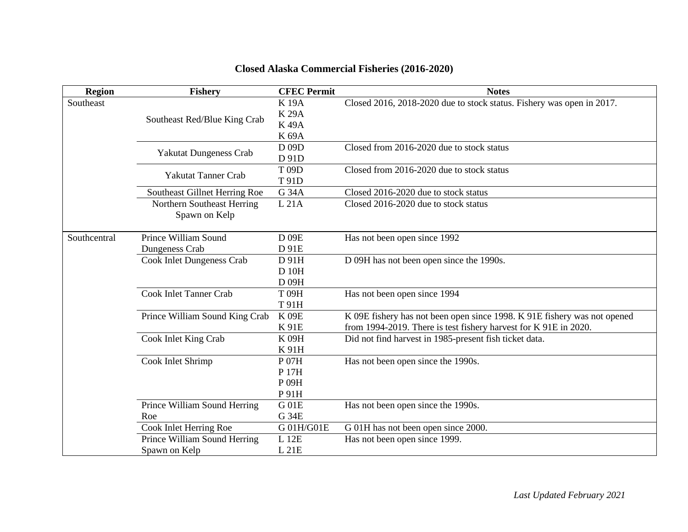| <b>Region</b> | <b>Fishery</b>                   | <b>CFEC Permit</b> | <b>Notes</b>                                                             |
|---------------|----------------------------------|--------------------|--------------------------------------------------------------------------|
| Southeast     |                                  | <b>K19A</b>        | Closed 2016, 2018-2020 due to stock status. Fishery was open in 2017.    |
|               | Southeast Red/Blue King Crab     | <b>K29A</b>        |                                                                          |
|               |                                  | <b>K49A</b>        |                                                                          |
|               |                                  | K 69A              |                                                                          |
|               | Yakutat Dungeness Crab           | D 09D              | Closed from 2016-2020 due to stock status                                |
|               |                                  | D 91D              |                                                                          |
|               | <b>Yakutat Tanner Crab</b>       | T 09D              | Closed from 2016-2020 due to stock status                                |
|               |                                  | T 91D              |                                                                          |
|               | Southeast Gillnet Herring Roe    | G 34A              | Closed 2016-2020 due to stock status                                     |
|               | Northern Southeast Herring       | L21A               | Closed 2016-2020 due to stock status                                     |
|               | Spawn on Kelp                    |                    |                                                                          |
|               |                                  |                    |                                                                          |
| Southcentral  | Prince William Sound             | D 09E              | Has not been open since 1992                                             |
|               | Dungeness Crab                   | D 91E              |                                                                          |
|               | <b>Cook Inlet Dungeness Crab</b> | D 91H              | D 09H has not been open since the 1990s.                                 |
|               |                                  | D 10H              |                                                                          |
|               |                                  | D 09H              |                                                                          |
|               | <b>Cook Inlet Tanner Crab</b>    | T 09H              | Has not been open since 1994                                             |
|               |                                  | T 91H              |                                                                          |
|               | Prince William Sound King Crab   | <b>K09E</b>        | K 09E fishery has not been open since 1998. K 91E fishery was not opened |
|               |                                  | K 91E              | from 1994-2019. There is test fishery harvest for K 91E in 2020.         |
|               | Cook Inlet King Crab             | <b>K 09H</b>       | Did not find harvest in 1985-present fish ticket data.                   |
|               |                                  | K 91H              |                                                                          |
|               | Cook Inlet Shrimp                | P 07H              | Has not been open since the 1990s.                                       |
|               |                                  | P 17H              |                                                                          |
|               |                                  | P 09H              |                                                                          |
|               |                                  | P 91H              |                                                                          |
|               | Prince William Sound Herring     | G 01E              | Has not been open since the 1990s.                                       |
|               | Roe                              | G 34E              |                                                                          |
|               | Cook Inlet Herring Roe           | G 01H/G01E         | G 01H has not been open since 2000.                                      |
|               | Prince William Sound Herring     | L 12E              | Has not been open since 1999.                                            |
|               | Spawn on Kelp                    | L21E               |                                                                          |

## **Closed Alaska Commercial Fisheries (2016-2020)**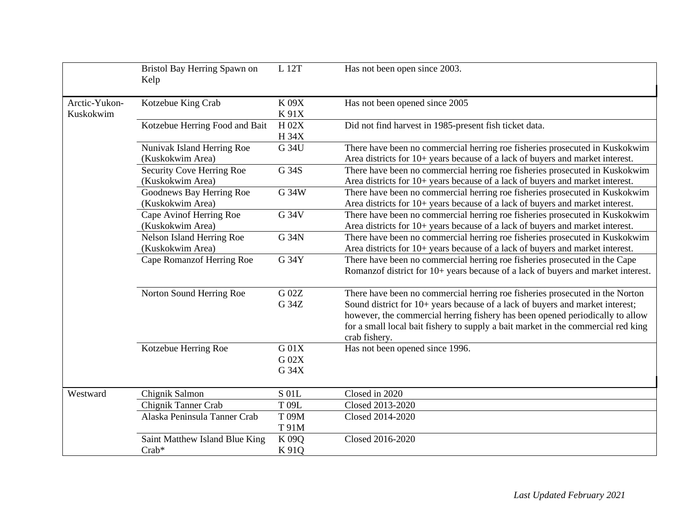|                            | Bristol Bay Herring Spawn on<br>Kelp          | L 12T                        | Has not been open since 2003.                                                                                                                                                                                                                                                                                                                        |
|----------------------------|-----------------------------------------------|------------------------------|------------------------------------------------------------------------------------------------------------------------------------------------------------------------------------------------------------------------------------------------------------------------------------------------------------------------------------------------------|
| Arctic-Yukon-<br>Kuskokwim | Kotzebue King Crab                            | K 09X<br>K 91X               | Has not been opened since 2005                                                                                                                                                                                                                                                                                                                       |
|                            | Kotzebue Herring Food and Bait                | H $02X$<br>H 34X             | Did not find harvest in 1985-present fish ticket data.                                                                                                                                                                                                                                                                                               |
|                            | Nunivak Island Herring Roe                    | G 34U                        | There have been no commercial herring roe fisheries prosecuted in Kuskokwim                                                                                                                                                                                                                                                                          |
|                            | (Kuskokwim Area)                              |                              | Area districts for 10+ years because of a lack of buyers and market interest.                                                                                                                                                                                                                                                                        |
|                            | Security Cove Herring Roe<br>(Kuskokwim Area) | G 34S                        | There have been no commercial herring roe fisheries prosecuted in Kuskokwim<br>Area districts for 10+ years because of a lack of buyers and market interest.                                                                                                                                                                                         |
|                            | Goodnews Bay Herring Roe<br>(Kuskokwim Area)  | G 34W                        | There have been no commercial herring roe fisheries prosecuted in Kuskokwim<br>Area districts for 10+ years because of a lack of buyers and market interest.                                                                                                                                                                                         |
|                            | Cape Avinof Herring Roe<br>(Kuskokwim Area)   | G 34V                        | There have been no commercial herring roe fisheries prosecuted in Kuskokwim<br>Area districts for 10+ years because of a lack of buyers and market interest.                                                                                                                                                                                         |
|                            | Nelson Island Herring Roe<br>(Kuskokwim Area) | G 34N                        | There have been no commercial herring roe fisheries prosecuted in Kuskokwim<br>Area districts for 10+ years because of a lack of buyers and market interest.                                                                                                                                                                                         |
|                            | Cape Romanzof Herring Roe                     | G 34Y                        | There have been no commercial herring roe fisheries prosecuted in the Cape<br>Romanzof district for 10+ years because of a lack of buyers and market interest.                                                                                                                                                                                       |
|                            | Norton Sound Herring Roe                      | G 02Z<br>G 34Z               | There have been no commercial herring roe fisheries prosecuted in the Norton<br>Sound district for 10+ years because of a lack of buyers and market interest;<br>however, the commercial herring fishery has been opened periodically to allow<br>for a small local bait fishery to supply a bait market in the commercial red king<br>crab fishery. |
|                            | Kotzebue Herring Roe                          | $G$ 01 $X$<br>G 02X<br>G 34X | Has not been opened since 1996.                                                                                                                                                                                                                                                                                                                      |
| Westward                   | Chignik Salmon                                | S 01L                        | Closed in 2020                                                                                                                                                                                                                                                                                                                                       |
|                            | Chignik Tanner Crab                           | T 09L                        | Closed 2013-2020                                                                                                                                                                                                                                                                                                                                     |
|                            | Alaska Peninsula Tanner Crab                  | T 09M<br>T 91M               | Closed 2014-2020                                                                                                                                                                                                                                                                                                                                     |
|                            | Saint Matthew Island Blue King<br>$Crab*$     | K 09Q<br>K 91Q               | Closed 2016-2020                                                                                                                                                                                                                                                                                                                                     |